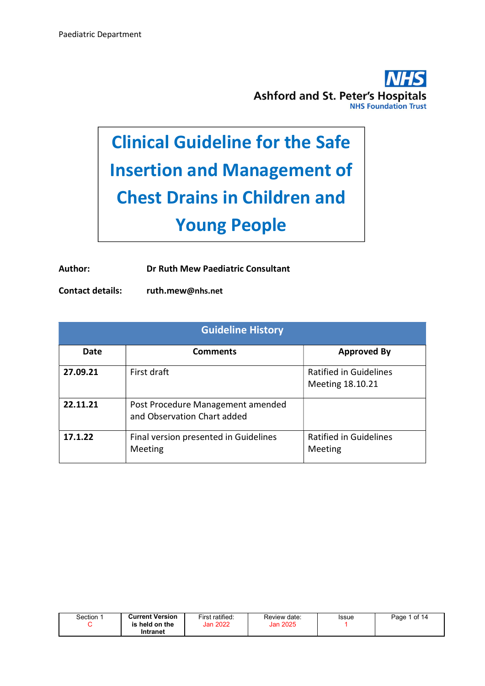

# Clinical Guideline for the Safe Insertion and Management of Chest Drains in Children and Young People

Author: Dr Ruth Mew Paediatric Consultant

Contact details: ruth.mew@nhs.net

| <b>Guideline History</b> |                                                                  |                                                   |  |  |  |  |
|--------------------------|------------------------------------------------------------------|---------------------------------------------------|--|--|--|--|
| Date                     | <b>Comments</b>                                                  | <b>Approved By</b>                                |  |  |  |  |
| 27.09.21                 | First draft                                                      | <b>Ratified in Guidelines</b><br>Meeting 18.10.21 |  |  |  |  |
| 22.11.21                 | Post Procedure Management amended<br>and Observation Chart added |                                                   |  |  |  |  |
| 17.1.22                  | Final version presented in Guidelines<br>Meeting                 | <b>Ratified in Guidelines</b><br>Meeting          |  |  |  |  |

| Section | <b>Current Version</b><br>$\mathop{\mathsf{iheld}}$ on the<br>is | First ratified:<br>Jan 2022 | Review date:<br>Jan 2025 | Issue | of 14<br>Page: |
|---------|------------------------------------------------------------------|-----------------------------|--------------------------|-------|----------------|
|         | Intranet                                                         |                             |                          |       |                |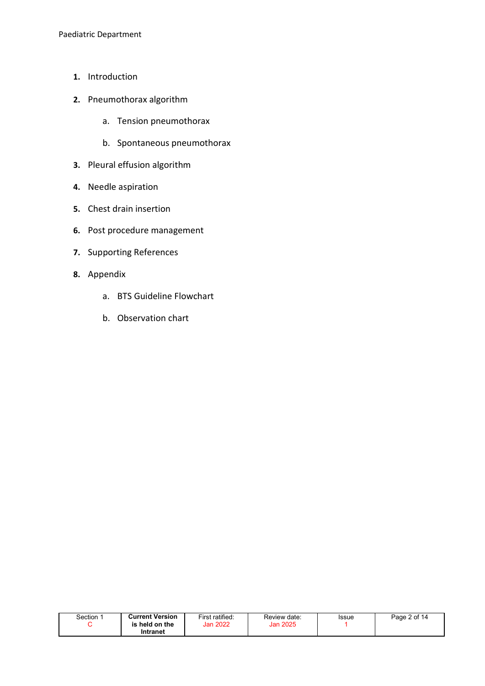- 1. Introduction
- 2. Pneumothorax algorithm
	- a. Tension pneumothorax
	- b. Spontaneous pneumothorax
- 3. Pleural effusion algorithm
- 4. Needle aspiration
- 5. Chest drain insertion
- 6. Post procedure management
- 7. Supporting References
- 8. Appendix
	- a. BTS Guideline Flowchart
	- b. Observation chart

| Section : | <b>Current Version</b> | First ratified: | Review date: | Issue | Page 2 of 14 |
|-----------|------------------------|-----------------|--------------|-------|--------------|
|           | held on the<br>is      | Jan 2022        | Jan 2025     |       |              |
|           | Intranet               |                 |              |       |              |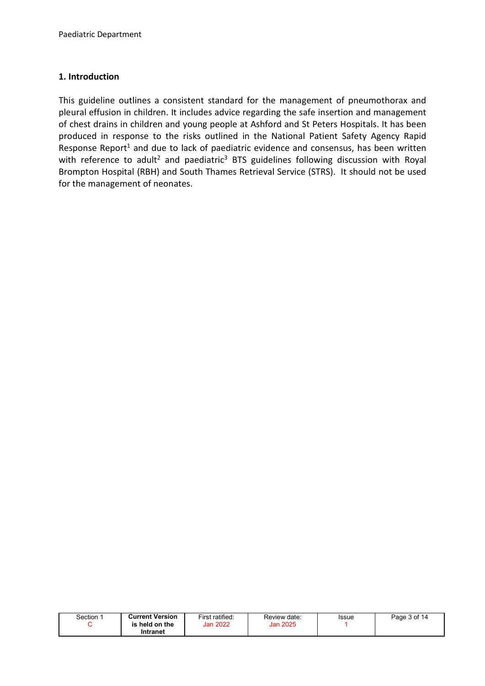### 1. Introduction

This guideline outlines a consistent standard for the management of pneumothorax and pleural effusion in children. It includes advice regarding the safe insertion and management of chest drains in children and young people at Ashford and St Peters Hospitals. It has been produced in response to the risks outlined in the National Patient Safety Agency Rapid Response Report<sup>1</sup> and due to lack of paediatric evidence and consensus, has been written with reference to adult<sup>2</sup> and paediatric<sup>3</sup> BTS guidelines following discussion with Royal Brompton Hospital (RBH) and South Thames Retrieval Service (STRS). It should not be used for the management of neonates.

| Section <sup>.</sup> | <b>Current Version</b><br>held on the<br>is | First ratified:<br>Jan 2022 | Review date:<br>Jan 2025 | Issue | Page 3 of 14 |
|----------------------|---------------------------------------------|-----------------------------|--------------------------|-------|--------------|
|                      | Intranet                                    |                             |                          |       |              |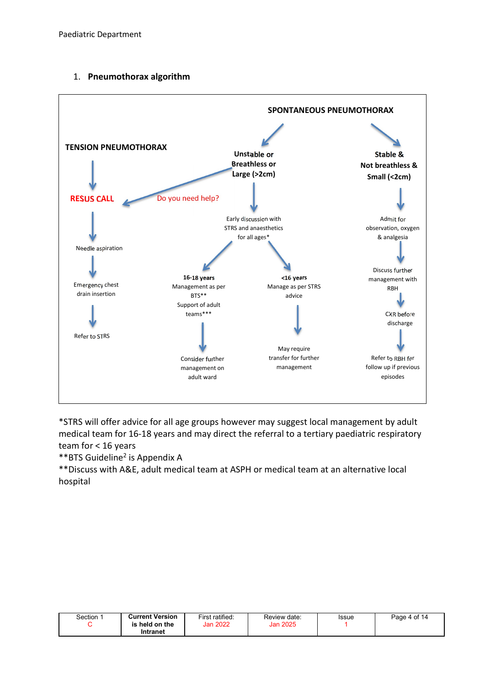



\*STRS will offer advice for all age groups however may suggest local management by adult medical team for 16-18 years and may direct the referral to a tertiary paediatric respiratory team for < 16 years

\*\*BTS Guideline<sup>2</sup> is Appendix A

\*\*Discuss with A&E, adult medical team at ASPH or medical team at an alternative local hospital

| Section⊹ | <b>Current Version</b> | First ratified: | Review date: | Issue | Page 4 of 14 |
|----------|------------------------|-----------------|--------------|-------|--------------|
|          | is held on the         | <b>Jan 2022</b> | Jan 2025     |       |              |
|          | Intranet               |                 |              |       |              |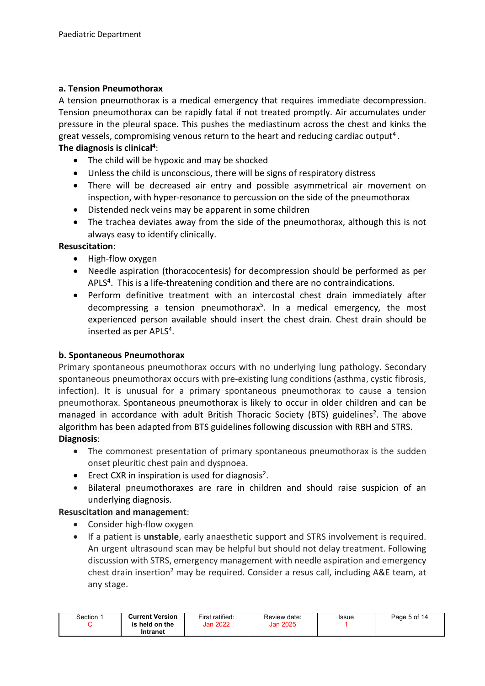#### a. Tension Pneumothorax

A tension pneumothorax is a medical emergency that requires immediate decompression. Tension pneumothorax can be rapidly fatal if not treated promptly. Air accumulates under pressure in the pleural space. This pushes the mediastinum across the chest and kinks the great vessels, compromising venous return to the heart and reducing cardiac output<sup>4</sup>. The diagnosis is clinical<sup>4</sup>:

- The child will be hypoxic and may be shocked
- Unless the child is unconscious, there will be signs of respiratory distress
- There will be decreased air entry and possible asymmetrical air movement on inspection, with hyper-resonance to percussion on the side of the pneumothorax
- Distended neck veins may be apparent in some children
- The trachea deviates away from the side of the pneumothorax, although this is not always easy to identify clinically.

#### Resuscitation:

- High-flow oxygen
- Needle aspiration (thoracocentesis) for decompression should be performed as per APLS<sup>4</sup>. This is a life-threatening condition and there are no contraindications.
- Perform definitive treatment with an intercostal chest drain immediately after decompressing a tension pneumothorax<sup>5</sup>. In a medical emergency, the most experienced person available should insert the chest drain. Chest drain should be inserted as per APLS<sup>4</sup>.

#### b. Spontaneous Pneumothorax

Primary spontaneous pneumothorax occurs with no underlying lung pathology. Secondary spontaneous pneumothorax occurs with pre-existing lung conditions (asthma, cystic fibrosis, infection). It is unusual for a primary spontaneous pneumothorax to cause a tension pneumothorax. Spontaneous pneumothorax is likely to occur in older children and can be managed in accordance with adult British Thoracic Society (BTS) guidelines<sup>2</sup>. The above algorithm has been adapted from BTS guidelines following discussion with RBH and STRS. Diagnosis:

- The commonest presentation of primary spontaneous pneumothorax is the sudden onset pleuritic chest pain and dyspnoea.
- **•** Erect CXR in inspiration is used for diagnosis<sup>2</sup>.
- Bilateral pneumothoraxes are rare in children and should raise suspicion of an underlying diagnosis.

#### Resuscitation and management:

- Consider high-flow oxygen
- If a patient is unstable, early anaesthetic support and STRS involvement is required. An urgent ultrasound scan may be helpful but should not delay treatment. Following discussion with STRS, emergency management with needle aspiration and emergency chest drain insertion<sup>2</sup> may be required. Consider a resus call, including A&E team, at any stage.

| Section: | <b>Current Version</b><br>is held on the<br>Intranet | First ratified:<br>Jan 2022 | Review date:<br>Jan 2025 | Issue | Page 5 of 14 |
|----------|------------------------------------------------------|-----------------------------|--------------------------|-------|--------------|
|          |                                                      |                             |                          |       |              |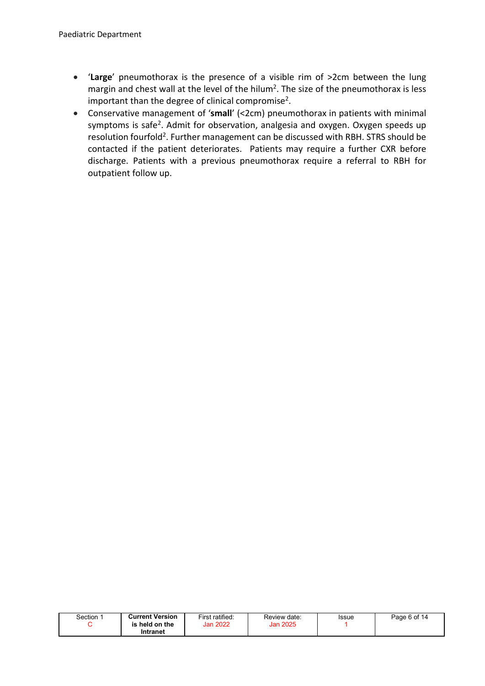- 'Large' pneumothorax is the presence of a visible rim of >2cm between the lung margin and chest wall at the level of the hilum<sup>2</sup>. The size of the pneumothorax is less important than the degree of clinical compromise<sup>2</sup>.
- Conservative management of 'small' (<2cm) pneumothorax in patients with minimal symptoms is safe<sup>2</sup>. Admit for observation, analgesia and oxygen. Oxygen speeds up resolution fourfold<sup>2</sup>. Further management can be discussed with RBH. STRS should be contacted if the patient deteriorates. Patients may require a further CXR before discharge. Patients with a previous pneumothorax require a referral to RBH for outpatient follow up.

| Section | <b>Current Version</b><br>is held on the<br>Intranet | First ratified:<br><b>Jan 2022</b> | Review date:<br><b>Jan 2025</b> | Issue | Page 6 of 14 |
|---------|------------------------------------------------------|------------------------------------|---------------------------------|-------|--------------|
|         |                                                      |                                    |                                 |       |              |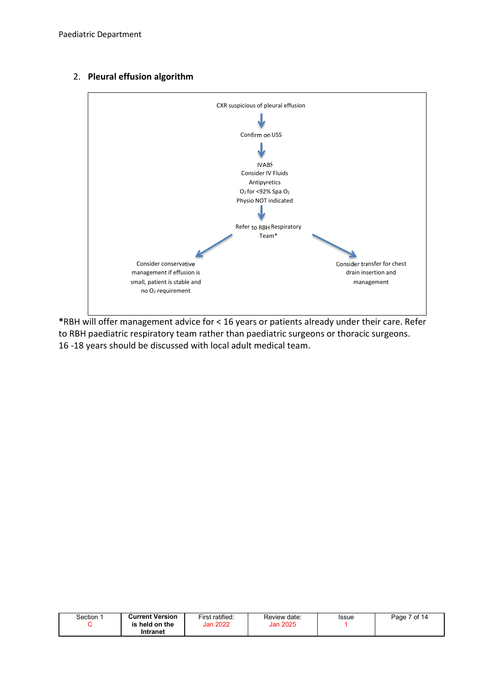



\*RBH will offer management advice for < 16 years or patients already under their care. Refer to RBH paediatric respiratory team rather than paediatric surgeons or thoracic surgeons. 16 -18 years should be discussed with local adult medical team.

| Section⊹ | <b>Current Version</b><br>is held on the | First ratified:<br><b>Jan 2022</b> | Review date:<br>Jan 2025 | Issue | 7 of 14<br>Page |
|----------|------------------------------------------|------------------------------------|--------------------------|-------|-----------------|
|          | Intranet                                 |                                    |                          |       |                 |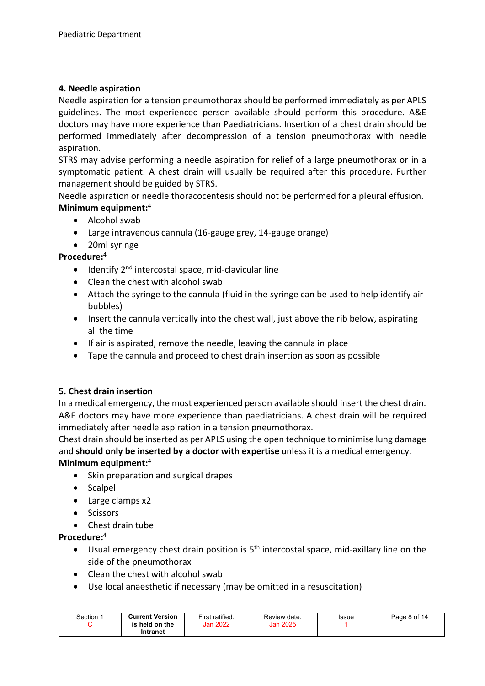#### 4. Needle aspiration

Needle aspiration for a tension pneumothorax should be performed immediately as per APLS guidelines. The most experienced person available should perform this procedure. A&E doctors may have more experience than Paediatricians. Insertion of a chest drain should be performed immediately after decompression of a tension pneumothorax with needle aspiration.

STRS may advise performing a needle aspiration for relief of a large pneumothorax or in a symptomatic patient. A chest drain will usually be required after this procedure. Further management should be guided by STRS.

Needle aspiration or needle thoracocentesis should not be performed for a pleural effusion. Minimum equipment:<sup>4</sup>

- Alcohol swab
- Large intravenous cannula (16-gauge grey, 14-gauge orange)
- 20ml syringe

#### Procedure:<sup>4</sup>

- $\bullet$  Identify 2<sup>nd</sup> intercostal space, mid-clavicular line
- Clean the chest with alcohol swab
- Attach the syringe to the cannula (fluid in the syringe can be used to help identify air bubbles)
- Insert the cannula vertically into the chest wall, just above the rib below, aspirating all the time
- If air is aspirated, remove the needle, leaving the cannula in place
- Tape the cannula and proceed to chest drain insertion as soon as possible

#### 5. Chest drain insertion

In a medical emergency, the most experienced person available should insert the chest drain. A&E doctors may have more experience than paediatricians. A chest drain will be required immediately after needle aspiration in a tension pneumothorax.

Chest drain should be inserted as per APLS using the open technique to minimise lung damage and should only be inserted by a doctor with expertise unless it is a medical emergency. Minimum equipment:<sup>4</sup>

- Skin preparation and surgical drapes
- Scalpel
- Large clamps x2
- Scissors
- Chest drain tube

Procedure:<sup>4</sup>

- Usual emergency chest drain position is  $5<sup>th</sup>$  intercostal space, mid-axillary line on the side of the pneumothorax
- Clean the chest with alcohol swab
- Use local anaesthetic if necessary (may be omitted in a resuscitation)

| Section | <b>Current Version</b><br>is held on the<br>Intranet | First ratified:<br><b>Jan 2022</b> | Review date:<br>Jan 2025 | Issue | Page 8 of 14 |
|---------|------------------------------------------------------|------------------------------------|--------------------------|-------|--------------|
|---------|------------------------------------------------------|------------------------------------|--------------------------|-------|--------------|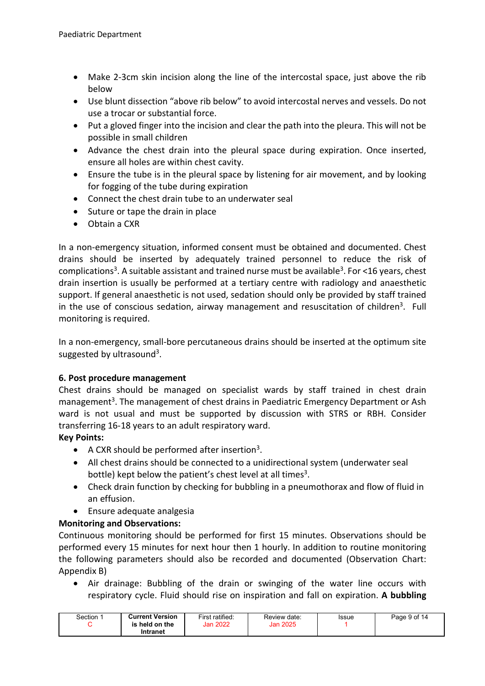- Make 2-3cm skin incision along the line of the intercostal space, just above the rib below
- Use blunt dissection "above rib below" to avoid intercostal nerves and vessels. Do not use a trocar or substantial force.
- Put a gloved finger into the incision and clear the path into the pleura. This will not be possible in small children
- Advance the chest drain into the pleural space during expiration. Once inserted, ensure all holes are within chest cavity.
- Ensure the tube is in the pleural space by listening for air movement, and by looking for fogging of the tube during expiration
- Connect the chest drain tube to an underwater seal
- Suture or tape the drain in place
- Obtain a CXR

In a non-emergency situation, informed consent must be obtained and documented. Chest drains should be inserted by adequately trained personnel to reduce the risk of complications<sup>3</sup>. A suitable assistant and trained nurse must be available<sup>3</sup>. For <16 years, chest drain insertion is usually be performed at a tertiary centre with radiology and anaesthetic support. If general anaesthetic is not used, sedation should only be provided by staff trained in the use of conscious sedation, airway management and resuscitation of children<sup>3</sup>. Full monitoring is required.

In a non-emergency, small-bore percutaneous drains should be inserted at the optimum site suggested by ultrasound<sup>3</sup>.

# 6. Post procedure management

Chest drains should be managed on specialist wards by staff trained in chest drain management<sup>3</sup>. The management of chest drains in Paediatric Emergency Department or Ash ward is not usual and must be supported by discussion with STRS or RBH. Consider transferring 16-18 years to an adult respiratory ward.

# Key Points:

- $\bullet$  A CXR should be performed after insertion<sup>3</sup>.
- All chest drains should be connected to a unidirectional system (underwater seal bottle) kept below the patient's chest level at all times $3$ .
- Check drain function by checking for bubbling in a pneumothorax and flow of fluid in an effusion.
- Ensure adequate analgesia

# Monitoring and Observations:

Continuous monitoring should be performed for first 15 minutes. Observations should be performed every 15 minutes for next hour then 1 hourly. In addition to routine monitoring the following parameters should also be recorded and documented (Observation Chart: Appendix B)

 Air drainage: Bubbling of the drain or swinging of the water line occurs with respiratory cycle. Fluid should rise on inspiration and fall on expiration. A bubbling

| Section ∵ | <b>Current Version</b><br>held on the<br>is<br>Intranet | First ratified:<br>Jan 2022 | Review date:<br>Jan 2025 | Issue | Page 9 of 14 |
|-----------|---------------------------------------------------------|-----------------------------|--------------------------|-------|--------------|
|-----------|---------------------------------------------------------|-----------------------------|--------------------------|-------|--------------|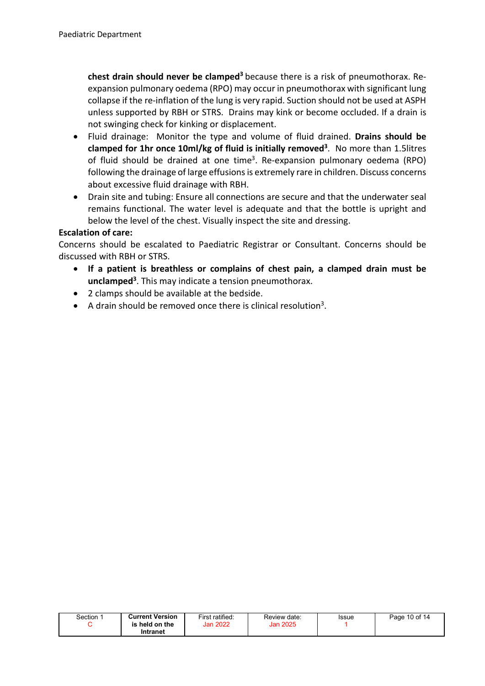chest drain should never be clamped<sup>3</sup> because there is a risk of pneumothorax. Reexpansion pulmonary oedema (RPO) may occur in pneumothorax with significant lung collapse if the re-inflation of the lung is very rapid. Suction should not be used at ASPH unless supported by RBH or STRS. Drains may kink or become occluded. If a drain is not swinging check for kinking or displacement.

- Fluid drainage: Monitor the type and volume of fluid drained. Drains should be clamped for 1hr once 10ml/kg of fluid is initially removed<sup>3</sup>. No more than 1.5litres of fluid should be drained at one time<sup>3</sup>. Re-expansion pulmonary oedema (RPO) following the drainage of large effusions is extremely rare in children. Discuss concerns about excessive fluid drainage with RBH.
- Drain site and tubing: Ensure all connections are secure and that the underwater seal remains functional. The water level is adequate and that the bottle is upright and below the level of the chest. Visually inspect the site and dressing.

## Escalation of care:

Concerns should be escalated to Paediatric Registrar or Consultant. Concerns should be discussed with RBH or STRS.

- If a patient is breathless or complains of chest pain, a clamped drain must be unclamped<sup>3</sup>. This may indicate a tension pneumothorax.
- 2 clamps should be available at the bedside.
- $\bullet$  A drain should be removed once there is clinical resolution<sup>3</sup>.

| Section | <b>Current Version</b><br>is held on the | First ratified:<br>Jan 2022 | Review date:<br>Jan 2025 | Issue | Page 10 of 14 |
|---------|------------------------------------------|-----------------------------|--------------------------|-------|---------------|
|         | Intranet                                 |                             |                          |       |               |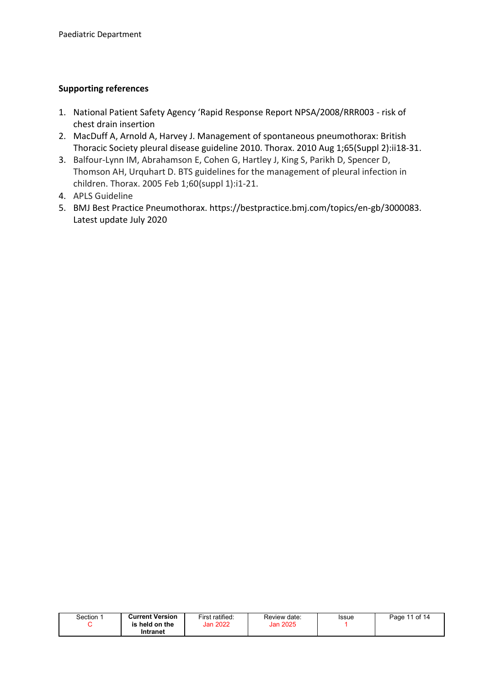## Supporting references

- 1. National Patient Safety Agency 'Rapid Response Report NPSA/2008/RRR003 risk of chest drain insertion
- 2. MacDuff A, Arnold A, Harvey J. Management of spontaneous pneumothorax: British Thoracic Society pleural disease guideline 2010. Thorax. 2010 Aug 1;65(Suppl 2):ii18-31.
- 3. Balfour-Lynn IM, Abrahamson E, Cohen G, Hartley J, King S, Parikh D, Spencer D, Thomson AH, Urquhart D. BTS guidelines for the management of pleural infection in children. Thorax. 2005 Feb 1;60(suppl 1):i1-21.
- 4. APLS Guideline
- 5. BMJ Best Practice Pneumothorax. https://bestpractice.bmj.com/topics/en-gb/3000083. Latest update July 2020

| Section | <b>Current Version</b><br>held on the<br>is | First ratified:<br><b>Jan 2022</b> | Review date:<br>Jan 2025 | Issue | 11 of 14<br>$P$ age, |
|---------|---------------------------------------------|------------------------------------|--------------------------|-------|----------------------|
|         | Intranet                                    |                                    |                          |       |                      |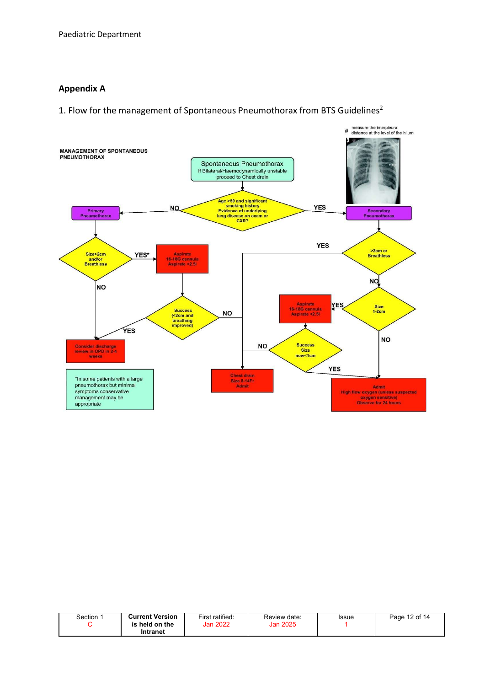#### Appendix A

1. Flow for the management of Spontaneous Pneumothorax from BTS Guidelines2



| Section | <b>Current Version</b><br>held on the<br>is | First ratified:<br><b>Jan 2022</b> | Review date:<br>Jan 2025 | Issue | 12 of 14<br>Page |
|---------|---------------------------------------------|------------------------------------|--------------------------|-------|------------------|
|         | Intranet                                    |                                    |                          |       |                  |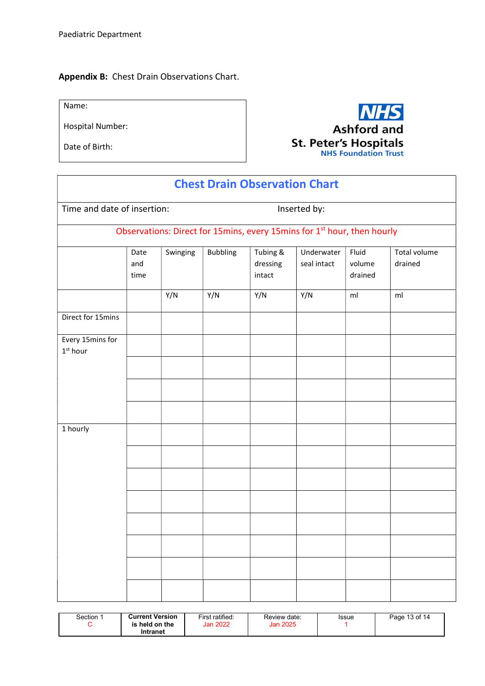#### Appendix B: Chest Drain Observations Chart.

Name:

Hospital Number:

Date of Birth:



| <b>Chest Drain Observation Chart</b>       |                     |          |              |                                |                                                                                     |                            |                         |  |
|--------------------------------------------|---------------------|----------|--------------|--------------------------------|-------------------------------------------------------------------------------------|----------------------------|-------------------------|--|
| Time and date of insertion:                |                     |          | Inserted by: |                                |                                                                                     |                            |                         |  |
|                                            |                     |          |              |                                | Observations: Direct for 15mins, every 15mins for 1 <sup>st</sup> hour, then hourly |                            |                         |  |
|                                            | Date<br>and<br>time | Swinging | Bubbling     | Tubing &<br>dressing<br>intact | Underwater<br>seal intact                                                           | Fluid<br>volume<br>drained | Total volume<br>drained |  |
|                                            |                     | Y/N      | Y/N          | Y/N                            | Y/N                                                                                 | ml                         | ml                      |  |
| Direct for 15mins                          |                     |          |              |                                |                                                                                     |                            |                         |  |
| Every 15mins for<br>$1st$ hour<br>1 hourly |                     |          |              |                                |                                                                                     |                            |                         |  |
|                                            |                     |          |              |                                |                                                                                     |                            |                         |  |

| <b>Current Version</b><br>Section 1<br>is held on the<br>Intranet | First ratified:<br>Jan 2022 | Review date:<br><b>Jan 2025</b> | Issue | Page 13 of 14 |
|-------------------------------------------------------------------|-----------------------------|---------------------------------|-------|---------------|
|-------------------------------------------------------------------|-----------------------------|---------------------------------|-------|---------------|